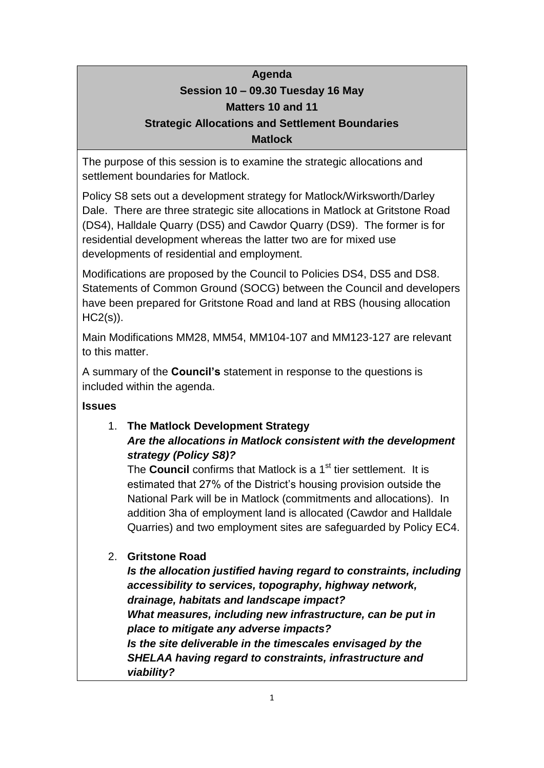# **Agenda Session 10 – 09.30 Tuesday 16 May Matters 10 and 11**

### **Strategic Allocations and Settlement Boundaries Matlock**

The purpose of this session is to examine the strategic allocations and settlement boundaries for Matlock.

Policy S8 sets out a development strategy for Matlock/Wirksworth/Darley Dale. There are three strategic site allocations in Matlock at Gritstone Road (DS4), Halldale Quarry (DS5) and Cawdor Quarry (DS9). The former is for residential development whereas the latter two are for mixed use developments of residential and employment.

Modifications are proposed by the Council to Policies DS4, DS5 and DS8. Statements of Common Ground (SOCG) between the Council and developers have been prepared for Gritstone Road and land at RBS (housing allocation HC2(s)).

Main Modifications MM28, MM54, MM104-107 and MM123-127 are relevant to this matter.

A summary of the **Council's** statement in response to the questions is included within the agenda.

# **Issues**

# 1. **The Matlock Development Strategy** *Are the allocations in Matlock consistent with the development strategy (Policy S8)?*

The **Council** confirms that Matlock is a 1<sup>st</sup> tier settlement. It is estimated that 27% of the District's housing provision outside the National Park will be in Matlock (commitments and allocations). In addition 3ha of employment land is allocated (Cawdor and Halldale Quarries) and two employment sites are safeguarded by Policy EC4.

# 2. **Gritstone Road**

*Is the allocation justified having regard to constraints, including accessibility to services, topography, highway network, drainage, habitats and landscape impact? What measures, including new infrastructure, can be put in place to mitigate any adverse impacts? Is the site deliverable in the timescales envisaged by the SHELAA having regard to constraints, infrastructure and viability?*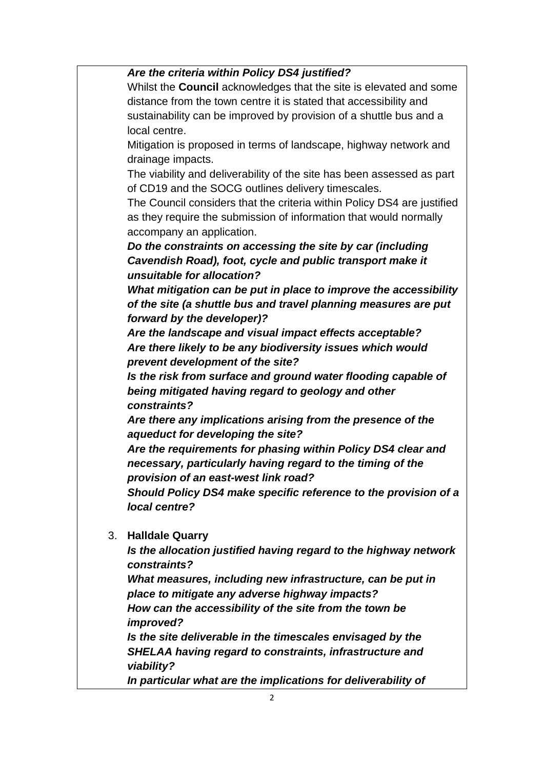#### *Are the criteria within Policy DS4 justified?*

Whilst the **Council** acknowledges that the site is elevated and some distance from the town centre it is stated that accessibility and sustainability can be improved by provision of a shuttle bus and a local centre.

Mitigation is proposed in terms of landscape, highway network and drainage impacts.

The viability and deliverability of the site has been assessed as part of CD19 and the SOCG outlines delivery timescales.

The Council considers that the criteria within Policy DS4 are justified as they require the submission of information that would normally accompany an application.

*Do the constraints on accessing the site by car (including Cavendish Road), foot, cycle and public transport make it unsuitable for allocation?*

*What mitigation can be put in place to improve the accessibility of the site (a shuttle bus and travel planning measures are put forward by the developer)?*

*Are the landscape and visual impact effects acceptable? Are there likely to be any biodiversity issues which would prevent development of the site?*

*Is the risk from surface and ground water flooding capable of being mitigated having regard to geology and other constraints?*

*Are there any implications arising from the presence of the aqueduct for developing the site?*

*Are the requirements for phasing within Policy DS4 clear and necessary, particularly having regard to the timing of the provision of an east-west link road?*

*Should Policy DS4 make specific reference to the provision of a local centre?*

3. **Halldale Quarry**

*Is the allocation justified having regard to the highway network constraints?*

*What measures, including new infrastructure, can be put in place to mitigate any adverse highway impacts? How can the accessibility of the site from the town be improved?*

*Is the site deliverable in the timescales envisaged by the SHELAA having regard to constraints, infrastructure and viability?*

*In particular what are the implications for deliverability of*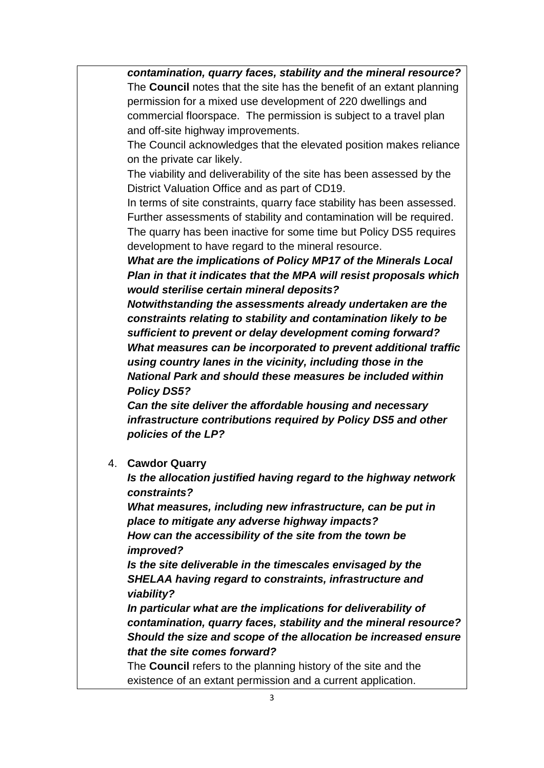*contamination, quarry faces, stability and the mineral resource?* The **Council** notes that the site has the benefit of an extant planning permission for a mixed use development of 220 dwellings and commercial floorspace. The permission is subject to a travel plan and off-site highway improvements.

The Council acknowledges that the elevated position makes reliance on the private car likely.

The viability and deliverability of the site has been assessed by the District Valuation Office and as part of CD19.

In terms of site constraints, quarry face stability has been assessed. Further assessments of stability and contamination will be required. The quarry has been inactive for some time but Policy DS5 requires development to have regard to the mineral resource.

*What are the implications of Policy MP17 of the Minerals Local Plan in that it indicates that the MPA will resist proposals which would sterilise certain mineral deposits?*

*Notwithstanding the assessments already undertaken are the constraints relating to stability and contamination likely to be sufficient to prevent or delay development coming forward? What measures can be incorporated to prevent additional traffic using country lanes in the vicinity, including those in the National Park and should these measures be included within Policy DS5?*

*Can the site deliver the affordable housing and necessary infrastructure contributions required by Policy DS5 and other policies of the LP?*

4. **Cawdor Quarry**

*Is the allocation justified having regard to the highway network constraints?*

*What measures, including new infrastructure, can be put in place to mitigate any adverse highway impacts? How can the accessibility of the site from the town be improved?*

*Is the site deliverable in the timescales envisaged by the SHELAA having regard to constraints, infrastructure and viability?*

*In particular what are the implications for deliverability of contamination, quarry faces, stability and the mineral resource? Should the size and scope of the allocation be increased ensure that the site comes forward?*

The **Council** refers to the planning history of the site and the existence of an extant permission and a current application.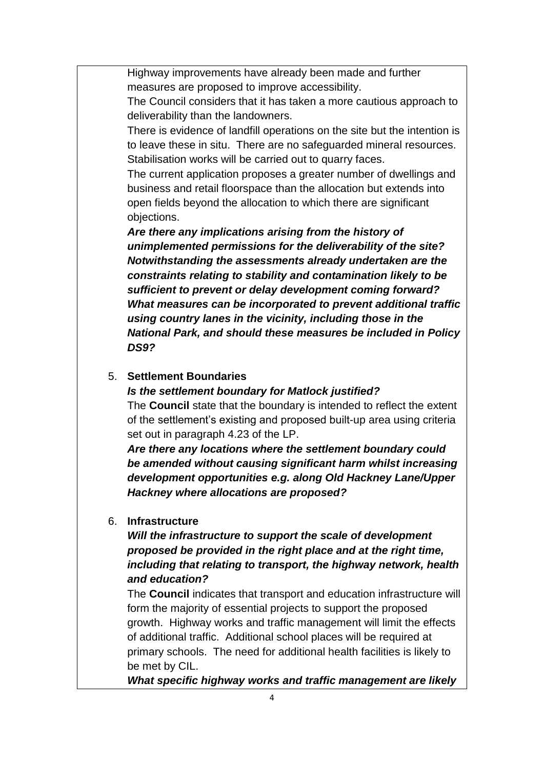Highway improvements have already been made and further measures are proposed to improve accessibility.

The Council considers that it has taken a more cautious approach to deliverability than the landowners.

There is evidence of landfill operations on the site but the intention is to leave these in situ. There are no safeguarded mineral resources. Stabilisation works will be carried out to quarry faces.

The current application proposes a greater number of dwellings and business and retail floorspace than the allocation but extends into open fields beyond the allocation to which there are significant objections.

*Are there any implications arising from the history of unimplemented permissions for the deliverability of the site? Notwithstanding the assessments already undertaken are the constraints relating to stability and contamination likely to be sufficient to prevent or delay development coming forward? What measures can be incorporated to prevent additional traffic using country lanes in the vicinity, including those in the National Park, and should these measures be included in Policy DS9?*

#### 5. **Settlement Boundaries**

*Is the settlement boundary for Matlock justified?*

The **Council** state that the boundary is intended to reflect the extent of the settlement's existing and proposed built-up area using criteria set out in paragraph 4.23 of the LP.

*Are there any locations where the settlement boundary could be amended without causing significant harm whilst increasing development opportunities e.g. along Old Hackney Lane/Upper Hackney where allocations are proposed?*

#### 6. **Infrastructure**

*Will the infrastructure to support the scale of development proposed be provided in the right place and at the right time, including that relating to transport, the highway network, health and education?*

The **Council** indicates that transport and education infrastructure will form the majority of essential projects to support the proposed growth. Highway works and traffic management will limit the effects of additional traffic. Additional school places will be required at primary schools. The need for additional health facilities is likely to be met by CIL.

*What specific highway works and traffic management are likely*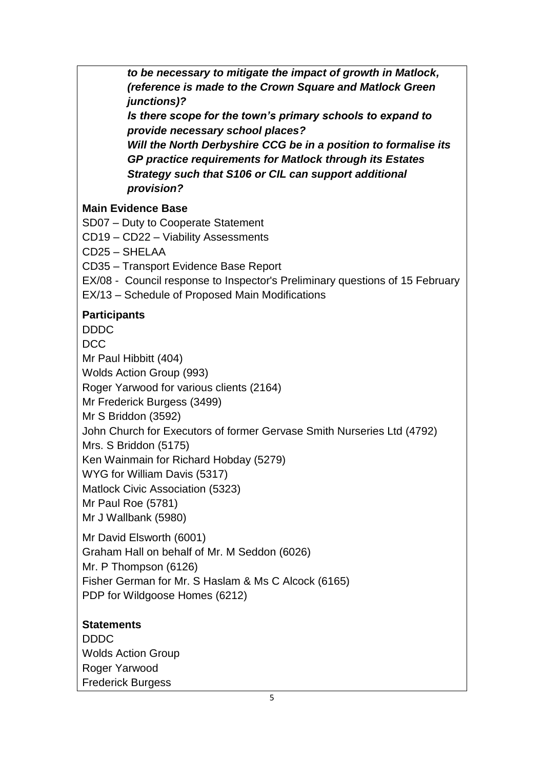*to be necessary to mitigate the impact of growth in Matlock, (reference is made to the Crown Square and Matlock Green junctions)?*

*Is there scope for the town's primary schools to expand to provide necessary school places?*

*Will the North Derbyshire CCG be in a position to formalise its GP practice requirements for Matlock through its Estates Strategy such that S106 or CIL can support additional provision?*

### **Main Evidence Base**

SD07 – Duty to Cooperate Statement

CD19 – CD22 – Viability Assessments

CD25 – SHELAA

CD35 – Transport Evidence Base Report

EX/08 - Council response to Inspector's Preliminary questions of 15 February

EX/13 – Schedule of Proposed Main Modifications

### **Participants**

DDDC

**DCC** 

Mr Paul Hibbitt (404)

Wolds Action Group (993)

Roger Yarwood for various clients (2164)

Mr Frederick Burgess (3499)

Mr S Briddon (3592)

John Church for Executors of former Gervase Smith Nurseries Ltd (4792)

Mrs. S Briddon (5175)

Ken Wainmain for Richard Hobday (5279)

WYG for William Davis (5317)

Matlock Civic Association (5323)

Mr Paul Roe (5781)

Mr J Wallbank (5980)

Mr David Elsworth (6001) Graham Hall on behalf of Mr. M Seddon (6026) Mr. P Thompson (6126) Fisher German for Mr. S Haslam & Ms C Alcock (6165) PDP for Wildgoose Homes (6212)

# **Statements**

DDDC Wolds Action Group Roger Yarwood Frederick Burgess